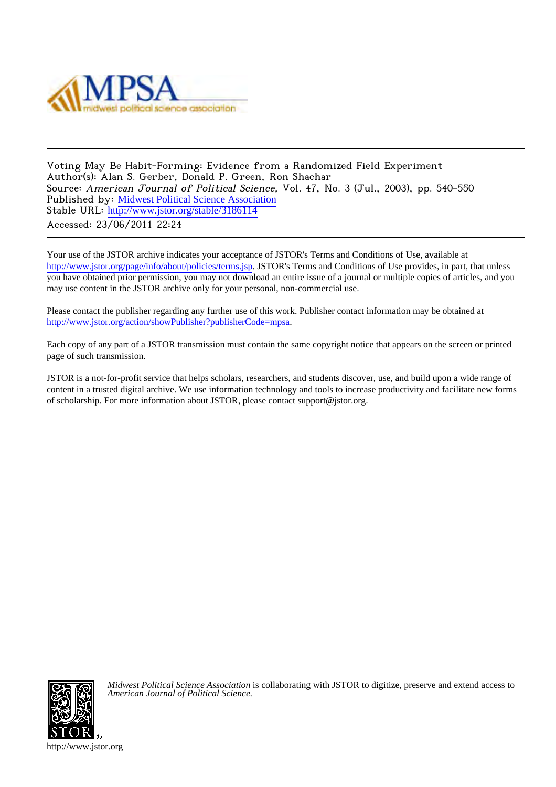

Voting May Be Habit-Forming: Evidence from a Randomized Field Experiment Author(s): Alan S. Gerber, Donald P. Green, Ron Shachar Source: American Journal of Political Science, Vol. 47, No. 3 (Jul., 2003), pp. 540-550 Published by: [Midwest Political Science Association](http://www.jstor.org/action/showPublisher?publisherCode=mpsa) Stable URL: [http://www.jstor.org/stable/3186114](http://www.jstor.org/stable/3186114?origin=JSTOR-pdf) Accessed: 23/06/2011 22:24

Your use of the JSTOR archive indicates your acceptance of JSTOR's Terms and Conditions of Use, available at <http://www.jstor.org/page/info/about/policies/terms.jsp>. JSTOR's Terms and Conditions of Use provides, in part, that unless you have obtained prior permission, you may not download an entire issue of a journal or multiple copies of articles, and you may use content in the JSTOR archive only for your personal, non-commercial use.

Please contact the publisher regarding any further use of this work. Publisher contact information may be obtained at <http://www.jstor.org/action/showPublisher?publisherCode=mpsa>.

Each copy of any part of a JSTOR transmission must contain the same copyright notice that appears on the screen or printed page of such transmission.

JSTOR is a not-for-profit service that helps scholars, researchers, and students discover, use, and build upon a wide range of content in a trusted digital archive. We use information technology and tools to increase productivity and facilitate new forms of scholarship. For more information about JSTOR, please contact support@jstor.org.



*Midwest Political Science Association* is collaborating with JSTOR to digitize, preserve and extend access to *American Journal of Political Science.*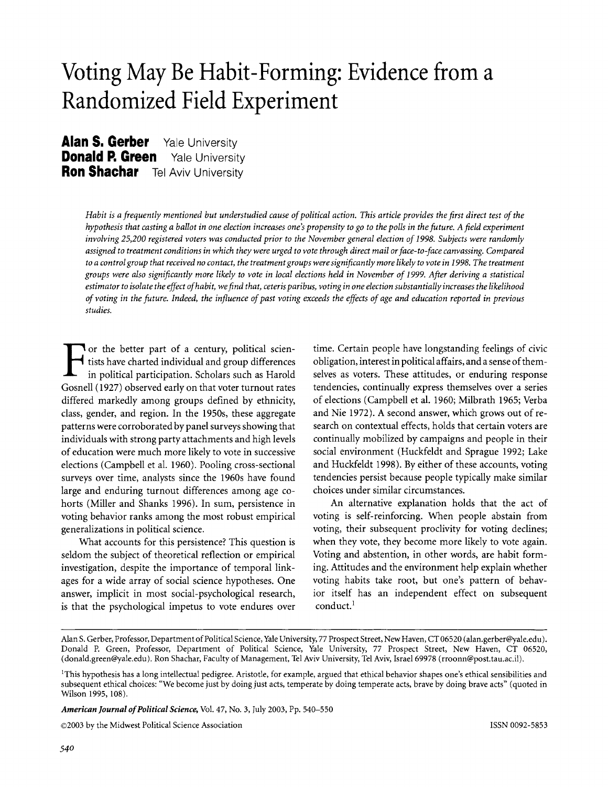# **Voting May Be Habit-Forming: Evidence from <sup>a</sup> Randomized Field Experiment**

**Alan S. Gerber Yale University Donald P. Green** Yale University **Ron Shachar** Tel Aviv University **Tel Aviv University** 

> **Habit is a frequently mentioned but understudied cause of political action. This article provides the first direct test of the hypothesis that casting a ballot in one election increases one's propensity to go to the polls in the future. A field experiment involving 25,200 registered voters was conducted prior to the November general election of 1998. Subjects were randomly assigned to treatment conditions in which they were urged to vote through direct mail orface-to-face canvassing. Compared to a control group that received no contact, the treatmentgroups were significantly more likely to vote in 1998. The treatment groups were also significantly more likely to vote in local elections held in November of 1999. After deriving a statistical estimator to isolate the effect of habit, wefind that, ceterisparibus, voting in one election substantially increases the likelihood of voting in the future. Indeed, the influence of past voting exceeds the effects of age and education reported in previous studies.**

**or the better part of a century, political scientists have charted individual and group differences in political participation. Scholars such as Harold Gosnell (1927) observed early on that voter turnout rates differed markedly among groups defined by ethnicity, class, gender, and region. In the 1950s, these aggregate patterns were corroborated by panel surveys showing that individuals with strong party attachments and high levels of education were much more likely to vote in successive elections (Campbell et al. 1960). Pooling cross-sectional surveys over time, analysts since the 1960s have found large and enduring turnout differences among age cohorts (Miller and Shanks 1996). In sum, persistence in voting behavior ranks among the most robust empirical generalizations in political science.** 

**What accounts for this persistence? This question is seldom the subject of theoretical reflection or empirical investigation, despite the importance of temporal linkages for a wide array of social science hypotheses. One answer, implicit in most social-psychological research, is that the psychological impetus to vote endures over** 

**time. Certain people have longstanding feelings of civic obligation, interest in political affairs, and a sense of themselves as voters. These attitudes, or enduring response tendencies, continually express themselves over a series of elections (Campbell et al. 1960; Milbrath 1965; Verba and Nie 1972). A second answer, which grows out of research on contextual effects, holds that certain voters are continually mobilized by campaigns and people in their social environment (Huckfeldt and Sprague 1992; Lake and Huckfeldt 1998). By either of these accounts, voting tendencies persist because people typically make similar choices under similar circumstances.** 

**An alternative explanation holds that the act of voting is self-reinforcing. When people abstain from voting, their subsequent proclivity for voting declines; when they vote, they become more likely to vote again. Voting and abstention, in other words, are habit forming. Attitudes and the environment help explain whether voting habits take root, but one's pattern of behavior itself has an independent effect on subsequent conduct.1** 

**American Journal of Political Science, Vol. 47, No. 3, July 2003, Pp. 540-550** 

**?2003 by the Midwest Political Science Association ISSN 0092-5853** 

**Alan S. Gerber, Professor, Department of Political Science, Yale University, 77 Prospect Street, New Haven, CT 06520 (alan.gerber@yale.edu). Donald P. Green, Professor, Department of Political Science, Yale University, 77 Prospect Street, New Haven, CT 06520, (donald.green@yale.edu). Ron Shachar, Faculty of Management, Tel Aviv University, Tel Aviv, Israel 69978 (rroonn@post.tau.ac.il).** 

**<sup>&#</sup>x27;This hypothesis has a long intellectual pedigree. Aristotle, for example, argued that ethical behavior shapes one's ethical sensibilities and subsequent ethical choices: "We become just by doing just acts, temperate by doing temperate acts, brave by doing brave acts" (quoted in Wilson 1995, 108).**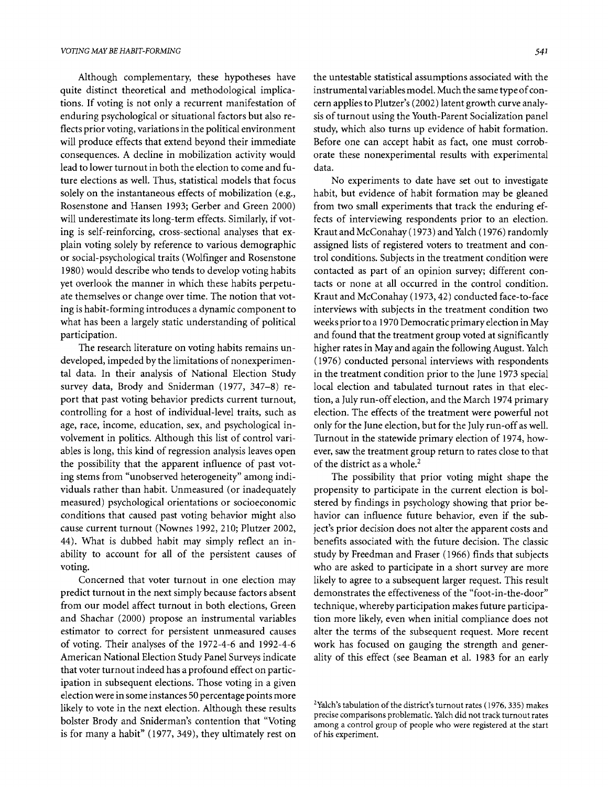**Although complementary, these hypotheses have quite distinct theoretical and methodological implications. If voting is not only a recurrent manifestation of enduring psychological or situational factors but also reflects prior voting, variations in the political environment will produce effects that extend beyond their immediate consequences. A decline in mobilization activity would lead to lower turnout in both the election to come and future elections as well. Thus, statistical models that focus solely on the instantaneous effects of mobilization (e.g., Rosenstone and Hansen 1993; Gerber and Green 2000) will underestimate its long-term effects. Similarly, if voting is self-reinforcing, cross-sectional analyses that explain voting solely by reference to various demographic or social-psychological traits (Wolfinger and Rosenstone 1980) would describe who tends to develop voting habits yet overlook the manner in which these habits perpetuate themselves or change over time. The notion that voting is habit-forming introduces a dynamic component to what has been a largely static understanding of political participation.** 

**The research literature on voting habits remains undeveloped, impeded by the limitations of nonexperimental data. In their analysis of National Election Study survey data, Brody and Sniderman (1977, 347-8) report that past voting behavior predicts current turnout, controlling for a host of individual-level traits, such as age, race, income, education, sex, and psychological involvement in politics. Although this list of control variables is long, this kind of regression analysis leaves open the possibility that the apparent influence of past voting stems from "unobserved heterogeneity" among individuals rather than habit. Unmeasured (or inadequately measured) psychological orientations or socioeconomic conditions that caused past voting behavior might also cause current turnout (Nownes 1992, 210; Plutzer 2002, 44). What is dubbed habit may simply reflect an inability to account for all of the persistent causes of voting.** 

**Concerned that voter turnout in one election may predict turnout in the next simply because factors absent from our model affect turnout in both elections, Green and Shachar (2000) propose an instrumental variables estimator to correct for persistent unmeasured causes of voting. Their analyses of the 1972-4-6 and 1992-4-6 American National Election Study Panel Surveys indicate that voter turnout indeed has a profound effect on participation in subsequent elections. Those voting in a given election were in some instances 50 percentage points more likely to vote in the next election. Although these results bolster Brody and Sniderman's contention that "Voting is for many a habit" (1977, 349), they ultimately rest on** 

**the untestable statistical assumptions associated with the instrumental variables model. Much the same type of concern applies to Plutzer's (2002) latent growth curve analysis of turnout using the Youth-Parent Socialization panel study, which also turns up evidence of habit formation. Before one can accept habit as fact, one must corroborate these nonexperimental results with experimental data.** 

**No experiments to date have set out to investigate habit, but evidence of habit formation may be gleaned from two small experiments that track the enduring effects of interviewing respondents prior to an election. Kraut and McConahay (1973) and Yalch (1976) randomly assigned lists of registered voters to treatment and control conditions. Subjects in the treatment condition were contacted as part of an opinion survey; different contacts or none at all occurred in the control condition. Kraut and McConahay (1973, 42) conducted face-to-face interviews with subjects in the treatment condition two weeks prior to a 1970 Democratic primary election in May and found that the treatment group voted at significantly higher rates in May and again the following August. Yalch (1976) conducted personal interviews with respondents in the treatment condition prior to the June 1973 special local election and tabulated turnout rates in that election, a July run-off election, and the March 1974 primary election. The effects of the treatment were powerful not only for the June election, but for the July run-off as well. Turnout in the statewide primary election of 1974, however, saw the treatment group return to rates close to that of the district as a whole.2** 

**The possibility that prior voting might shape the propensity to participate in the current election is bolstered by findings in psychology showing that prior behavior can influence future behavior, even if the subject's prior decision does not alter the apparent costs and benefits associated with the future decision. The classic study by Freedman and Fraser (1966) finds that subjects who are asked to participate in a short survey are more likely to agree to a subsequent larger request. This result demonstrates the effectiveness of the "foot-in-the-door" technique, whereby participation makes future participation more likely, even when initial compliance does not alter the terms of the subsequent request. More recent work has focused on gauging the strength and generality of this effect (see Beaman et al. 1983 for an early** 

**<sup>2</sup>Yalch's tabulation of the district's turnout rates (1976, 335) makes precise comparisons problematic. Yalch did not track turnout rates among a control group of people who were registered at the start of his experiment.**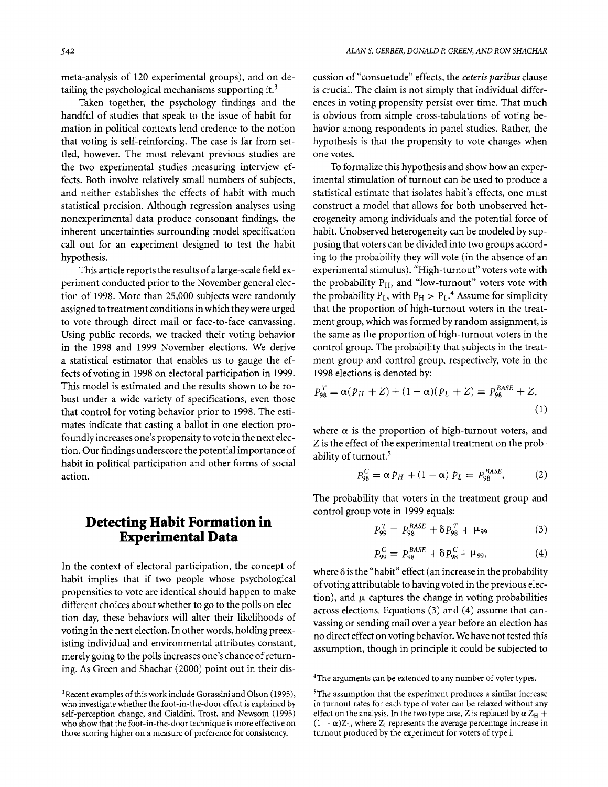**meta-analysis of 120 experimental groups), and on detailing the psychological mechanisms supporting it.3** 

**Taken together, the psychology findings and the handful of studies that speak to the issue of habit formation in political contexts lend credence to the notion that voting is self-reinforcing. The case is far from settled, however. The most relevant previous studies are the two experimental studies measuring interview effects. Both involve relatively small numbers of subjects, and neither establishes the effects of habit with much statistical precision. Although regression analyses using nonexperimental data produce consonant findings, the inherent uncertainties surrounding model specification call out for an experiment designed to test the habit hypothesis.** 

**This article reports the results of a large-scale field experiment conducted prior to the November general election of 1998. More than 25,000 subjects were randomly assigned to treatment conditions in which they were urged to vote through direct mail or face-to-face canvassing. Using public records, we tracked their voting behavior in the 1998 and 1999 November elections. We derive a statistical estimator that enables us to gauge the effects of voting in 1998 on electoral participation in 1999. This model is estimated and the results shown to be robust under a wide variety of specifications, even those that control for voting behavior prior to 1998. The estimates indicate that casting a ballot in one election profoundly increases one's propensity to vote in the next election. Our findings underscore the potential importance of habit in political participation and other forms of social action.** 

# **Detecting Habit Formation in Experimental Data**

**In the context of electoral participation, the concept of habit implies that if two people whose psychological propensities to vote are identical should happen to make different choices about whether to go to the polls on election day, these behaviors will alter their likelihoods of voting in the next election. In other words, holding preexisting individual and environmental attributes constant, merely going to the polls increases one's chance of returning. As Green and Shachar (2000) point out in their dis-** **cussion of "consuetude" effects, the ceteris paribus clause is crucial. The claim is not simply that individual differences in voting propensity persist over time. That much is obvious from simple cross-tabulations of voting behavior among respondents in panel studies. Rather, the hypothesis is that the propensity to vote changes when one votes.** 

**To formalize this hypothesis and show how an experimental stimulation of turnout can be used to produce a statistical estimate that isolates habit's effects, one must construct a model that allows for both unobserved heterogeneity among individuals and the potential force of habit. Unobserved heterogeneity can be modeled by supposing that voters can be divided into two groups according to the probability they will vote (in the absence of an experimental stimulus). "High-turnout" voters vote with**  the probability P<sub>H</sub>, and "low-turnout" voters vote with the probability  $P_L$ , with  $P_H > P_L$ .<sup>4</sup> Assume for simplicity **that the proportion of high-turnout voters in the treatment group, which was formed by random assignment, is the same as the proportion of high-turnout voters in the control group. The probability that subjects in the treatment group and control group, respectively, vote in the 1998 elections is denoted by:** 

$$
P_{98}^T = \alpha (p_H + Z) + (1 - \alpha)(p_L + Z) = P_{98}^{BASE} + Z,
$$
\n(1)

where  $\alpha$  is the proportion of high-turnout voters, and **Z is the effect of the experimental treatment on the probability of turnout.5** 

$$
P_{98}^C = \alpha \, p_H + (1 - \alpha) \, p_L = P_{98}^{BASE}, \tag{2}
$$

**The probability that voters in the treatment group and control group vote in 1999 equals:** 

$$
P_{99}^T = P_{98}^{BASE} + \delta P_{98}^T + \mu_{99} \tag{3}
$$

$$
P_{99}^C = P_{98}^{BASE} + \delta P_{98}^C + \mu_{99}, \qquad (4)
$$

**where 8 is the "habit" effect (an increase in the probability of voting attributable to having voted in the previous elec**tion), and  $\mu$  captures the change in voting probabilities **across elections. Equations (3) and (4) assume that canvassing or sending mail over a year before an election has no direct effect on voting behavior. We have not tested this assumption, though in principle it could be subjected to** 

**<sup>3</sup>Recent examples of this work include Gorassini and Olson (1995), who investigate whether the foot-in-the-door effect is explained by self-perception change, and Cialdini, Trost, and Newsom (1995) who show that the foot-in-the-door technique is more effective on those scoring higher on a measure of preference for consistency.** 

**<sup>4</sup>The arguments can be extended to any number of voter types.** 

**<sup>5</sup>The assumption that the experiment produces a similar increase in turnout rates for each type of voter can be relaxed without any**  effect on the analysis. In the two type case, Z is replaced by  $\alpha Z_H$  +  $(1 - \alpha)Z_L$ , where  $Z_i$  represents the average percentage increase in **turnout produced by the experiment for voters of type i.**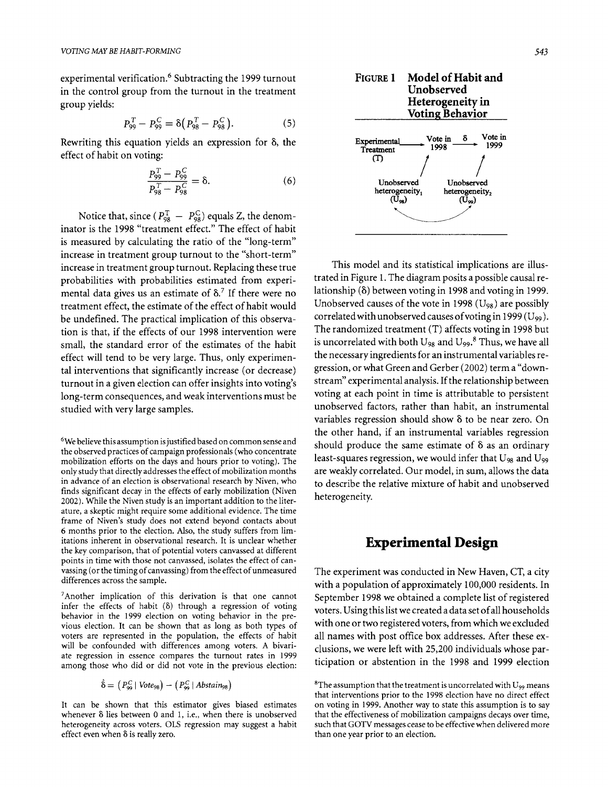**experimental verification.6 Subtracting the 1999 turnout in the control group from the turnout in the treatment group yields:** 

$$
P_{99}^T - P_{99}^C = \delta \left( P_{98}^T - P_{98}^C \right). \tag{5}
$$

**Rewriting this equation yields an expression for 8, the effect of habit on voting:** 

$$
\frac{P_{99}^T - P_{99}^C}{P_{98}^T - P_{98}^C} = \delta.
$$
 (6)

Notice that, since  $(P_{98}^T - P_{98}^C)$  equals Z, the denom**inator is the 1998 "treatment effect." The effect of habit is measured by calculating the ratio of the "long-term" increase in treatment group turnout to the "short-term" increase in treatment group turnout. Replacing these true probabilities with probabilities estimated from experi**mental data gives us an estimate of  $\delta$ <sup>7</sup>. If there were no **treatment effect, the estimate of the effect of habit would be undefined. The practical implication of this observation is that, if the effects of our 1998 intervention were small, the standard error of the estimates of the habit effect will tend to be very large. Thus, only experimental interventions that significantly increase (or decrease) turnout in a given election can offer insights into voting's long-term consequences, and weak interventions must be studied with very large samples.** 

**6We believe this assumption is justified based on common sense and the observed practices of campaign professionals (who concentrate mobilization efforts on the days and hours prior to voting). The only study that directly addresses the effect of mobilization months in advance of an election is observational research by Niven, who finds significant decay in the effects of early mobilization (Niven 2002). While the Niven study is an important addition to the literature, a skeptic might require some additional evidence. The time frame of Niven's study does not extend beyond contacts about 6 months prior to the election. Also, the study suffers from limitations inherent in observational research. It is unclear whether the key comparison, that of potential voters canvassed at different points in time with those not canvassed, isolates the effect of canvassing (or the timing of canvassing) from the effect of unmeasured differences across the sample.** 

**7Another implication of this derivation is that one cannot infer the effects of habit (8) through a regression of voting behavior in the 1999 election on voting behavior in the previous election. It can be shown that as long as both types of voters are represented in the population, the effects of habit will be confounded with differences among voters. A bivariate regression in essence compares the turnout rates in 1999 among those who did or did not vote in the previous election:** 

 $\hat{\delta} = (P_{\infty}^C | \text{Vote}_{98}) - (P_{\infty}^C | \text{Abstain}_{98})$ 

**It can be shown that this estimator gives biased estimates whenever 8 lies between 0 and 1, i.e., when there is unobserved heterogeneity across voters. OLS regression may suggest a habit effect even when 8 is really zero.** 



**This model and its statistical implications are illustrated in Figure 1. The diagram posits a possible causal relationship (8) between voting in 1998 and voting in 1999. Unobserved causes of the vote in 1998 (U98) are possibly correlated with unobserved causes of voting in 1999 (U99). The randomized treatment (T) affects voting in 1998 but is uncorrelated with both U98 and U99.8 Thus, we have all the necessary ingredients for an instrumental variables regression, or what Green and Gerber (2002) term a "downstream" experimental analysis. If the relationship between voting at each point in time is attributable to persistent unobserved factors, rather than habit, an instrumental variables regression should show 8 to be near zero. On the other hand, if an instrumental variables regression should produce the same estimate of 8 as an ordinary least-squares regression, we would infer that U98 and U99 are weakly correlated. Our model, in sum, allows the data to describe the relative mixture of habit and unobserved heterogeneity.** 

### **Experimental Design**

**The experiment was conducted in New Haven, CT, a city with a population of approximately 100,000 residents. In September 1998 we obtained a complete list of registered voters. Using this list we created a data set of all households with one or two registered voters, from which we excluded all names with post office box addresses. After these exclusions, we were left with 25,200 individuals whose participation or abstention in the 1998 and 1999 election** 

**<sup>8</sup>The assumption that the treatment is uncorrelated with U99 means that interventions prior to the 1998 election have no direct effect on voting in 1999. Another way to state this assumption is to say that the effectiveness of mobilization campaigns decays over time, such that GOTV messages cease to be effective when delivered more than one year prior to an election.**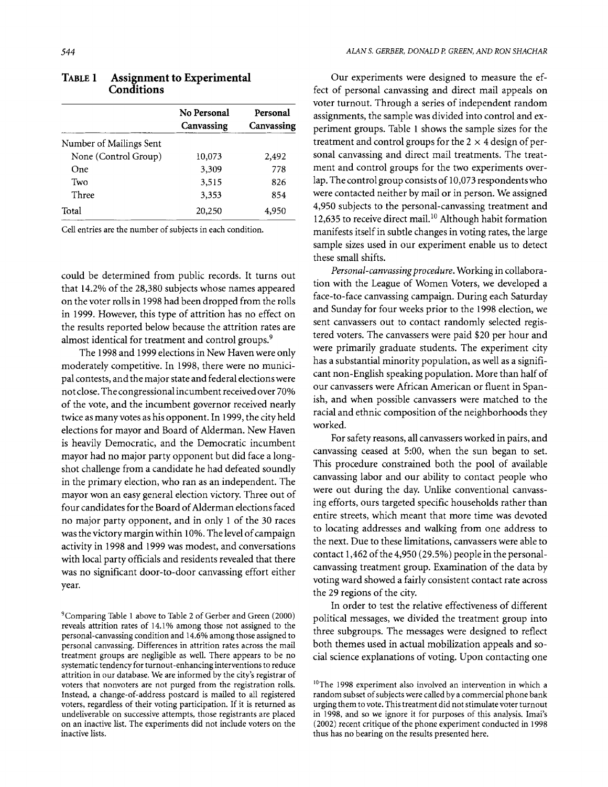|                         | No Personal<br>Canvassing | Personal<br>Canvassing |
|-------------------------|---------------------------|------------------------|
| Number of Mailings Sent |                           |                        |
| None (Control Group)    | 10,073                    | 2,492                  |
| One                     | 3,309                     | 778                    |
| Two                     | 3,515                     | 826                    |
| Three                   | 3,353                     | 854                    |
| Total                   | 20,250                    | 4,950                  |

#### **TABLE 1 Assignment to Experimental Conditions**

**Cell entries are the number of subjects in each condition.** 

**could be determined from public records. It turns out that 14.2% of the 28,380 subjects whose names appeared on the voter rolls in 1998 had been dropped from the rolls in 1999. However, this type of attrition has no effect on the results reported below because the attrition rates are almost identical for treatment and control groups.9** 

**The 1998 and 1999 elections in New Haven were only moderately competitive. In 1998, there were no municipal contests, and the major state and federal elections were not close. The congressional incumbent received over 70% of the vote, and the incumbent governor received nearly twice as many votes as his opponent. In 1999, the city held elections for mayor and Board of Alderman. New Haven is heavily Democratic, and the Democratic incumbent mayor had no major party opponent but did face a longshot challenge from a candidate he had defeated soundly in the primary election, who ran as an independent. The mayor won an easy general election victory. Three out of four candidates for the Board of Alderman elections faced no major party opponent, and in only 1 of the 30 races was the victory margin within 10%. The level of campaign activity in 1998 and 1999 was modest, and conversations with local party officials and residents revealed that there was no significant door-to-door canvassing effort either year.** 

**Our experiments were designed to measure the effect of personal canvassing and direct mail appeals on voter turnout. Through a series of independent random assignments, the sample was divided into control and experiment groups. Table 1 shows the sample sizes for the treatment and control groups for the 2 x 4 design of personal canvassing and direct mail treatments. The treatment and control groups for the two experiments overlap. The control group consists of 10,073 respondents who were contacted neither by mail or in person. We assigned 4,950 subjects to the personal-canvassing treatment and 12,635 to receive direct mail.10 Although habit formation manifests itself in subtle changes in voting rates, the large sample sizes used in our experiment enable us to detect these small shifts.** 

Personal-canvassing procedure. Working in collabora**tion with the League of Women Voters, we developed a face-to-face canvassing campaign. During each Saturday and Sunday for four weeks prior to the 1998 election, we sent canvassers out to contact randomly selected registered voters. The canvassers were paid \$20 per hour and were primarily graduate students. The experiment city has a substantial minority population, as well as a significant non-English speaking population. More than half of our canvassers were African American or fluent in Spanish, and when possible canvassers were matched to the racial and ethnic composition of the neighborhoods they worked.** 

**For safety reasons, all canvassers worked in pairs, and canvassing ceased at 5:00, when the sun began to set. This procedure constrained both the pool of available canvassing labor and our ability to contact people who were out during the day. Unlike conventional canvassing efforts, ours targeted specific households rather than entire streets, which meant that more time was devoted to locating addresses and walking from one address to the next. Due to these limitations, canvassers were able to contact 1,462 of the 4,950 (29.5%) people in the personalcanvassing treatment group. Examination of the data by voting ward showed a fairly consistent contact rate across the 29 regions of the city.** 

**In order to test the relative effectiveness of different political messages, we divided the treatment group into three subgroups. The messages were designed to reflect both themes used in actual mobilization appeals and social science explanations of voting. Upon contacting one** 

**<sup>9</sup>Comparing Table 1 above to Table 2 of Gerber and Green (2000) reveals attrition rates of 14.1% among those not assigned to the personal-canvassing condition and 14.6% among those assigned to personal canvassing. Differences in attrition rates across the mail treatment groups are negligible as well. There appears to be no systematic tendency for turnout-enhancing interventions to reduce attrition in our database. We are informed by the city's registrar of voters that nonvoters are not purged from the registration rolls. Instead, a change-of-address postcard is mailed to all registered voters, regardless of their voting participation. If it is returned as undeliverable on successive attempts, those registrants are placed on an inactive list. The experiments did not include voters on the inactive lists.** 

<sup>&</sup>lt;sup>10</sup>The 1998 experiment also involved an intervention in which a **random subset of subjects were called by a commercial phone bank urging them to vote. This treatment did not stimulate voter turnout in 1998, and so we ignore it for purposes of this analysis. Imai's (2002) recent critique of the phone experiment conducted in 1998 thus has no bearing on the results presented here.**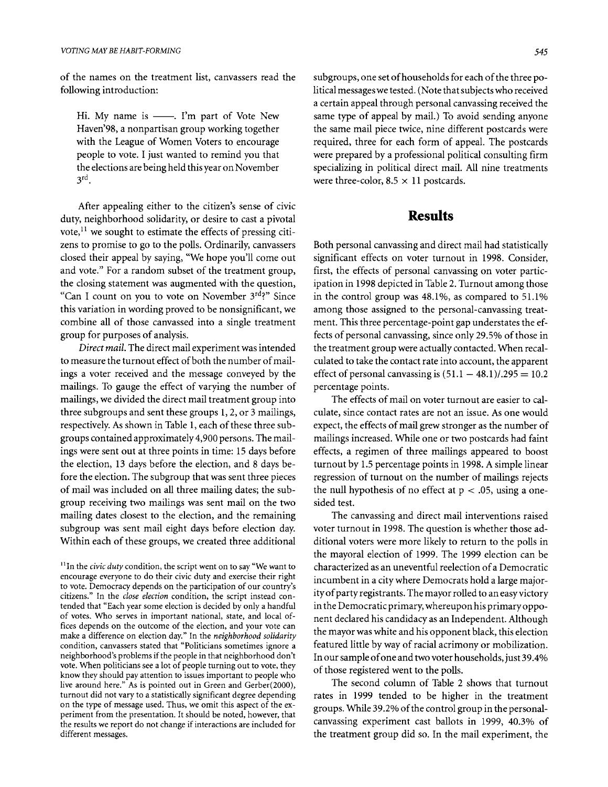**of the names on the treatment list, canvassers read the following introduction:** 

Hi. My name is  $\frac{1}{\sqrt{2}}$ . I'm part of Vote New **Haven'98, a nonpartisan group working together with the League of Women Voters to encourage people to vote. I just wanted to remind you that the elections are being held this year on November 3rd** 

**After appealing either to the citizen's sense of civic duty, neighborhood solidarity, or desire to cast a pivotal**  vote,<sup>11</sup> we sought to estimate the effects of pressing citi**zens to promise to go to the polls. Ordinarily, canvassers closed their appeal by saying, "We hope you'll come out and vote." For a random subset of the treatment group, the closing statement was augmented with the question, "Can I count on you to vote on November 3rd?" Since this variation in wording proved to be nonsignificant, we combine all of those canvassed into a single treatment group for purposes of analysis.** 

**Direct mail. The direct mail experiment was intended to measure the turnout effect of both the number of mailings a voter received and the message conveyed by the mailings. To gauge the effect of varying the number of mailings, we divided the direct mail treatment group into three subgroups and sent these groups 1, 2, or 3 mailings, respectively. As shown in Table 1, each of these three subgroups contained approximately 4,900 persons. The mailings were sent out at three points in time: 15 days before the election, 13 days before the election, and 8 days before the election. The subgroup that was sent three pieces of mail was included on all three mailing dates; the subgroup receiving two mailings was sent mail on the two mailing dates closest to the election, and the remaining subgroup was sent mail eight days before election day. Within each of these groups, we created three additional** 

**subgroups, one set of households for each of the three political messages we tested. (Note that subjects who received a certain appeal through personal canvassing received the same type of appeal by mail.) To avoid sending anyone the same mail piece twice, nine different postcards were required, three for each form of appeal. The postcards were prepared by a professional political consulting firm specializing in political direct mail. All nine treatments**  were three-color,  $8.5 \times 11$  postcards.

#### **Results**

**Both personal canvassing and direct mail had statistically significant effects on voter turnout in 1998. Consider, first, the effects of personal canvassing on voter participation in 1998 depicted in Table 2. Turnout among those in the control group was 48.1%, as compared to 51.1% among those assigned to the personal-canvassing treatment. This three percentage-point gap understates the effects of personal canvassing, since only 29.5% of those in the treatment group were actually contacted. When recalculated to take the contact rate into account, the apparent effect of personal canvassing is**  $(51.1 - 48.1)/295 = 10.2$ **percentage points.** 

**The effects of mail on voter turnout are easier to calculate, since contact rates are not an issue. As one would expect, the effects of mail grew stronger as the number of mailings increased. While one or two postcards had faint effects, a regimen of three mailings appeared to boost turnout by 1.5 percentage points in 1998. A simple linear regression of turnout on the number of mailings rejects the null hypothesis of no effect at p < .05, using a onesided test.** 

**The canvassing and direct mail interventions raised voter turnout in 1998. The question is whether those additional voters were more likely to return to the polls in the mayoral election of 1999. The 1999 election can be characterized as an uneventful reelection of a Democratic incumbent in a city where Democrats hold a large majority of party registrants. The mayor rolled to an easy victory in the Democratic primary, whereupon his primary opponent declared his candidacy as an Independent. Although the mayor was white and his opponent black, this election featured little by way of racial acrimony or mobilization. In our sample of one and two voter households, just 39.4% of those registered went to the polls.** 

**The second column of Table 2 shows that turnout rates in 1999 tended to be higher in the treatment groups. While 39.2% of the control group in the personalcanvassing experiment cast ballots in 1999, 40.3% of the treatment group did so. In the mail experiment, the** 

<sup>&</sup>lt;sup>11</sup> In the *civic duty* condition, the script went on to say "We want to **encourage everyone to do their civic duty and exercise their right to vote. Democracy depends on the participation of our country's citizens." In the close election condition, the script instead contended that "Each year some election is decided by only a handful of votes. Who serves in important national, state, and local offices depends on the outcome of the election, and your vote can make a difference on election day." In the neighborhood solidarity condition, canvassers stated that "Politicians sometimes ignore a neighborhood's problems if the people in that neighborhood don't vote. When politicians see a lot of people turning out to vote, they know they should pay attention to issues important to people who live around here." As is pointed out in Green and Gerber(2000), turnout did not vary to a statistically significant degree depending on the type of message used. Thus, we omit this aspect of the experiment from the presentation. It should be noted, however, that the results we report do not change if interactions are included for different messages.**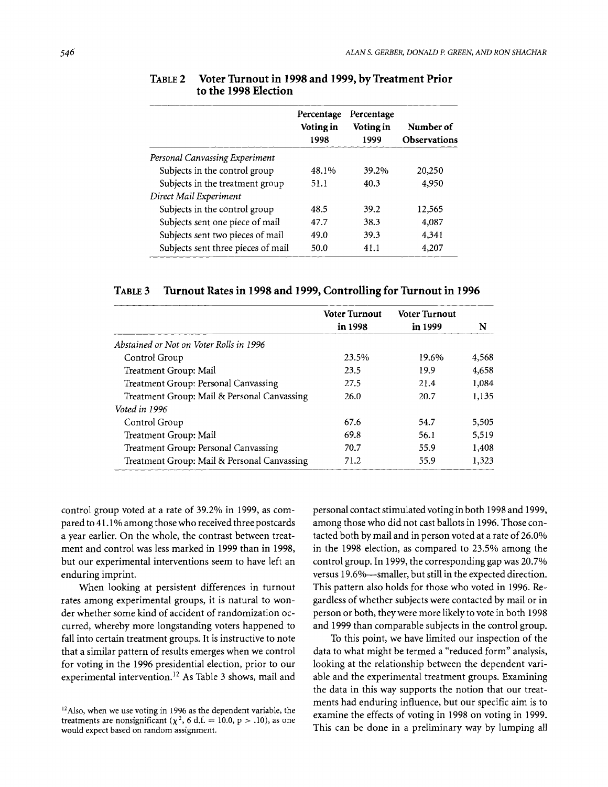|                                    | Percentage<br>Voting in<br>1998 | Percentage<br>Voting in<br>1999 | Number of<br><b>Observations</b> |
|------------------------------------|---------------------------------|---------------------------------|----------------------------------|
| Personal Canvassing Experiment     |                                 |                                 |                                  |
| Subjects in the control group      | 48.1%                           | 39.2%                           | 20,250                           |
| Subjects in the treatment group    | 51.1                            | 40.3                            | 4,950                            |
| Direct Mail Experiment             |                                 |                                 |                                  |
| Subjects in the control group      | 48.5                            | 39.2                            | 12,565                           |
| Subjects sent one piece of mail    | 47.7                            | 38.3                            | 4,087                            |
| Subjects sent two pieces of mail   | 49.0                            | 39.3                            | 4,341                            |
| Subjects sent three pieces of mail | 50.0                            | 41.1                            | 4,207                            |

#### **TABLE 2 Voter Turnout in 1998 and 1999, by Treatment Prior to the 1998 Election**

**TABLE 3 Turnout Rates in 1998 and 1999, Controlling for Turnout in 1996** 

|                                             | <b>Voter Turnout</b> | <b>Voter Turnout</b> |       |
|---------------------------------------------|----------------------|----------------------|-------|
|                                             | in 1998              | in 1999              | N     |
| Abstained or Not on Voter Rolls in 1996     |                      |                      |       |
| Control Group                               | 23.5%                | 19.6%                | 4,568 |
| Treatment Group: Mail                       | 23.5                 | 19.9                 | 4,658 |
| Treatment Group: Personal Canvassing        | 27.5                 | 21.4                 | 1,084 |
| Treatment Group: Mail & Personal Canvassing | 26.0                 | 20.7                 | 1,135 |
| Voted in 1996                               |                      |                      |       |
| Control Group                               | 67.6                 | 54.7                 | 5,505 |
| Treatment Group: Mail                       | 69.8                 | 56.1                 | 5,519 |
| Treatment Group: Personal Canvassing        | 70.7                 | 55.9                 | 1,408 |
| Treatment Group: Mail & Personal Canvassing | 71.2                 | 55.9                 | 1,323 |

**control group voted at a rate of 39.2% in 1999, as compared to 41.1% among those who received three postcards a year earlier. On the whole, the contrast between treatment and control was less marked in 1999 than in 1998, but our experimental interventions seem to have left an enduring imprint.** 

**When looking at persistent differences in turnout rates among experimental groups, it is natural to wonder whether some kind of accident of randomization occurred, whereby more longstanding voters happened to fall into certain treatment groups. It is instructive to note that a similar pattern of results emerges when we control for voting in the 1996 presidential election, prior to our experimental intervention.'2 As Table 3 shows, mail and**  **personal contact stimulated voting in both 1998 and 1999, among those who did not cast ballots in 1996. Those contacted both by mail and in person voted at a rate of 26.0% in the 1998 election, as compared to 23.5% among the control group. In 1999, the corresponding gap was 20.7% versus 19.6%-smaller, but still in the expected direction. This pattern also holds for those who voted in 1996. Regardless of whether subjects were contacted by mail or in person or both, they were more likely to vote in both 1998 and 1999 than comparable subjects in the control group.** 

**To this point, we have limited our inspection of the data to what might be termed a "reduced form" analysis, looking at the relationship between the dependent variable and the experimental treatment groups. Examining the data in this way supports the notion that our treatments had enduring influence, but our specific aim is to examine the effects of voting in 1998 on voting in 1999. This can be done in a preliminary way by lumping all** 

**<sup>&#</sup>x27;2Also, when we use voting in 1996 as the dependent variable, the**  treatments are nonsignificant ( $\chi^2$ , 6 d.f. = 10.0, p > .10), as one **would expect based on random assignment.**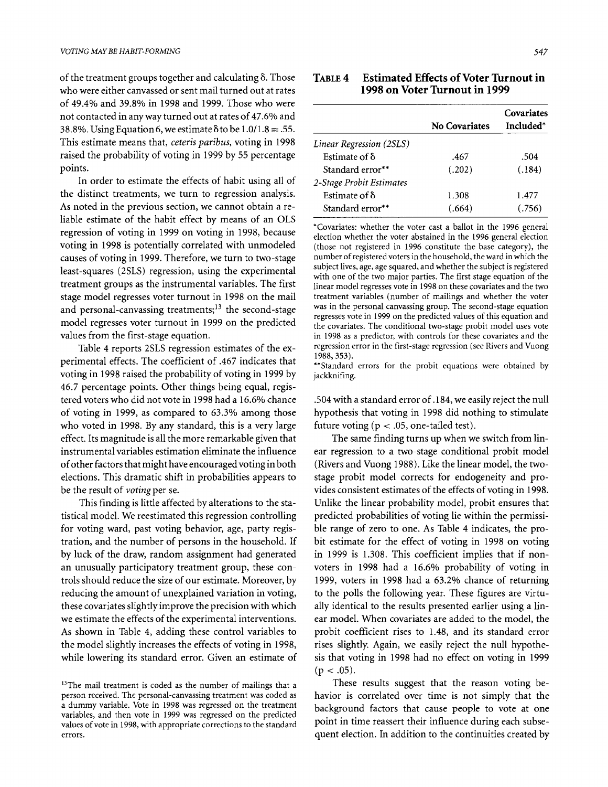**of the treatment groups together and calculating 8. Those who were either canvassed or sent mail turned out at rates of 49.4% and 39.8% in 1998 and 1999. Those who were not contacted in any way turned out at rates of 47.6% and 38.8%. Using Equation 6, we estimate 8 to be 1.0/1.8 = .55. This estimate means that, ceteris paribus, voting in 1998 raised the probability of voting in 1999 by 55 percentage points.** 

**In order to estimate the effects of habit using all of the distinct treatments, we turn to regression analysis. As noted in the previous section, we cannot obtain a reliable estimate of the habit effect by means of an OLS regression of voting in 1999 on voting in 1998, because voting in 1998 is potentially correlated with unmodeled causes of voting in 1999. Therefore, we turn to two-stage least-squares (2SLS) regression, using the experimental treatment groups as the instrumental variables. The first stage model regresses voter turnout in 1998 on the mail and personal-canvassing treatments;13 the second-stage model regresses voter turnout in 1999 on the predicted values from the first-stage equation.** 

**Table 4 reports 2SLS regression estimates of the experimental effects. The coefficient of .467 indicates that voting in 1998 raised the probability of voting in 1999 by 46.7 percentage points. Other things being equal, registered voters who did not vote in 1998 had a 16.6% chance of voting in 1999, as compared to 63.3% among those who voted in 1998. By any standard, this is a very large effect. Its magnitude is all the more remarkable given that instrumental variables estimation eliminate the influence of other factors that might have encouraged voting in both elections. This dramatic shift in probabilities appears to be the result of voting per se.** 

**This finding is little affected by alterations to the statistical model. We reestimated this regression controlling for voting ward, past voting behavior, age, party registration, and the number of persons in the household. If by luck of the draw, random assignment had generated an unusually participatory treatment group, these controls should reduce the size of our estimate. Moreover, by reducing the amount of unexplained variation in voting, these covariates slightly improve the precision with which we estimate the effects of the experimental interventions. As shown in Table 4, adding these control variables to the model slightly increases the effects of voting in 1998, while lowering its standard error. Given an estimate of** 

**TABLE 4 Estimated Effects of Voter Turnout in 1998 on Voter Turnout in 1999** 

|                          | <b>No Covariates</b> | Covariates<br>Included* |
|--------------------------|----------------------|-------------------------|
| Linear Regression (2SLS) |                      |                         |
| Estimate of δ            | .467                 | .504                    |
| Standard error**         | (.202)               | (.184)                  |
| 2-Stage Probit Estimates |                      |                         |
| Estimate of $\delta$     | 1.308                | 1.477                   |
| Standard error**         | (.664)               | (.756)                  |

**\*Covariates: whether the voter cast a ballot in the 1996 general election whether the voter abstained in the 1996 general election (those not registered in 1996 constitute the base category), the number of registered voters in the household, the ward in which the subject lives, age, age squared, and whether the subject is registered with one of the two major parties. The first stage equation of the linear model regresses vote in 1998 on these covariates and the two treatment variables (number of mailings and whether the voter was in the personal canvassing group. The second-stage equation regresses vote in 1999 on the predicted values of this equation and the covariates. The conditional two-stage probit model uses vote in 1998 as a predictor, with controls for these covariates and the regression error in the first-stage regression (see Rivers and Vuong 1988, 353).** 

**\*\*Standard errors for the probit equations were obtained by jackknifing.** 

**.504 with a standard error of .184, we easily reject the null hypothesis that voting in 1998 did nothing to stimulate future voting (p < .05, one-tailed test).** 

**The same finding turns up when we switch from linear regression to a two-stage conditional probit model (Rivers and Vuong 1988). Like the linear model, the twostage probit model corrects for endogeneity and provides consistent estimates of the effects of voting in 1998. Unlike the linear probability model, probit ensures that predicted probabilities of voting lie within the permissible range of zero to one. As Table 4 indicates, the probit estimate for the effect of voting in 1998 on voting in 1999 is 1.308. This coefficient implies that if nonvoters in 1998 had a 16.6% probability of voting in 1999, voters in 1998 had a 63.2% chance of returning to the polls the following year. These figures are virtually identical to the results presented earlier using a linear model. When covariates are added to the model, the probit coefficient rises to 1.48, and its standard error rises slightly. Again, we easily reject the null hypothesis that voting in 1998 had no effect on voting in 1999**   $(p < .05)$ .

**These results suggest that the reason voting behavior is correlated over time is not simply that the background factors that cause people to vote at one point in time reassert their influence during each subsequent election. In addition to the continuities created by** 

**<sup>&#</sup>x27;3The mail treatment is coded as the number of mailings that a person received. The personal-canvassing treatment was coded as a dummy variable. Vote in 1998 was regressed on the treatment variables, and then vote in 1999 was regressed on the predicted values of vote in 1998, with appropriate corrections to the standard errors.**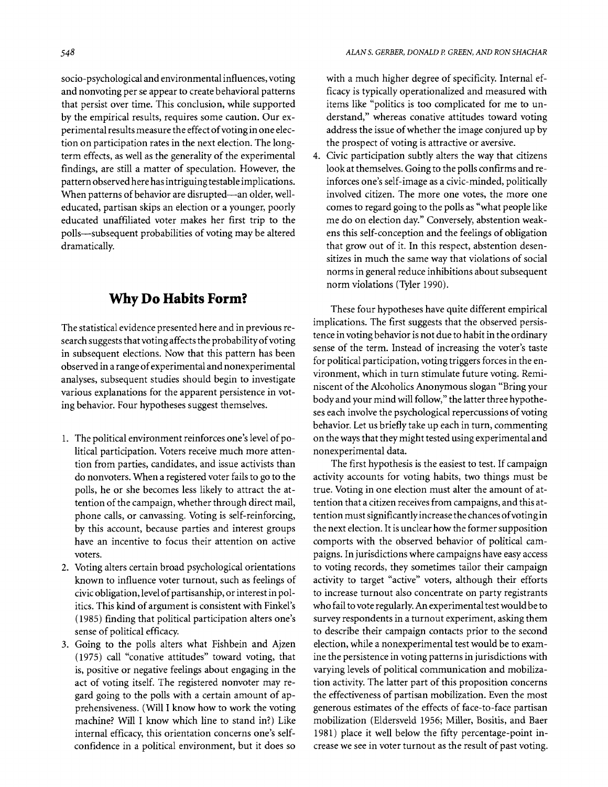**socio-psychological and environmental influences, voting and nonvoting per se appear to create behavioral patterns that persist over time. This conclusion, while supported by the empirical results, requires some caution. Our experimental results measure the effect of voting in one election on participation rates in the next election. The longterm effects, as well as the generality of the experimental findings, are still a matter of speculation. However, the pattern observed here has intriguing testable implications.**  When patterns of behavior are disrupted-an older, well**educated, partisan skips an election or a younger, poorly educated unaffiliated voter makes her first trip to the polls-subsequent probabilities of voting may be altered dramatically.** 

# **Why Do Habits Form?**

**The statistical evidence presented here and in previous research suggests that voting affects the probability of voting in subsequent elections. Now that this pattern has been observed in a range of experimental and nonexperimental analyses, subsequent studies should begin to investigate various explanations for the apparent persistence in voting behavior. Four hypotheses suggest themselves.** 

- **1. The political environment reinforces one's level of political participation. Voters receive much more attention from parties, candidates, and issue activists than do nonvoters. When a registered voter fails to go to the polls, he or she becomes less likely to attract the attention of the campaign, whether through direct mail, phone calls, or canvassing. Voting is self-reinforcing, by this account, because parties and interest groups have an incentive to focus their attention on active voters.**
- **2. Voting alters certain broad psychological orientations known to influence voter turnout, such as feelings of civic obligation, level of partisanship, or interest in politics. This kind of argument is consistent with Finkel's (1985) finding that political participation alters one's sense of political efficacy.**
- **3. Going to the polls alters what Fishbein and Ajzen (1975) call "conative attitudes" toward voting, that is, positive or negative feelings about engaging in the act of voting itself. The registered nonvoter may regard going to the polls with a certain amount of apprehensiveness. (Will I know how to work the voting machine? Will I know which line to stand in?) Like internal efficacy, this orientation concerns one's selfconfidence in a political environment, but it does so**

**with a much higher degree of specificity. Internal efficacy is typically operationalized and measured with items like "politics is too complicated for me to understand," whereas conative attitudes toward voting address the issue of whether the image conjured up by the prospect of voting is attractive or aversive.** 

**4. Civic participation subtly alters the way that citizens look at themselves. Going to the polls confirms and reinforces one's self-image as a civic-minded, politically involved citizen. The more one votes, the more one comes to regard going to the polls as "what people like me do on election day." Conversely, abstention weakens this self-conception and the feelings of obligation that grow out of it. In this respect, abstention desensitizes in much the same way that violations of social norms in general reduce inhibitions about subsequent norm violations (Tyler 1990).** 

**These four hypotheses have quite different empirical implications. The first suggests that the observed persistence in voting behavior is not due to habit in the ordinary sense of the term. Instead of increasing the voter's taste for political participation, voting triggers forces in the environment, which in turn stimulate future voting. Reminiscent of the Alcoholics Anonymous slogan "Bring your body and your mind will follow," the latter three hypotheses each involve the psychological repercussions of voting behavior. Let us briefly take up each in turn, commenting on the ways that they might tested using experimental and nonexperimental data.** 

**The first hypothesis is the easiest to test. If campaign activity accounts for voting habits, two things must be true. Voting in one election must alter the amount of attention that a citizen receives from campaigns, and this attention must significantly increase the chances of voting in the next election. It is unclear how the former supposition comports with the observed behavior of political campaigns. In jurisdictions where campaigns have easy access to voting records, they sometimes tailor their campaign activity to target "active" voters, although their efforts to increase turnout also concentrate on party registrants who fail to vote regularly. An experimental test would be to survey respondents in a turnout experiment, asking them to describe their campaign contacts prior to the second election, while a nonexperimental test would be to examine the persistence in voting patterns in jurisdictions with varying levels of political communication and mobilization activity. The latter part of this proposition concerns the effectiveness of partisan mobilization. Even the most generous estimates of the effects of face-to-face partisan mobilization (Eldersveld 1956; Miller, Bositis, and Baer 1981) place it well below the fifty percentage-point increase we see in voter turnout as the result of past voting.**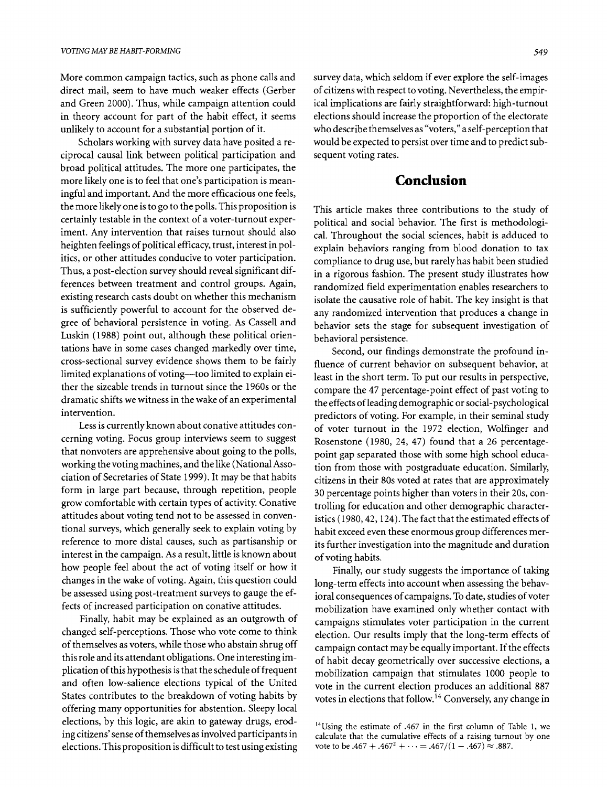**More common campaign tactics, such as phone calls and direct mail, seem to have much weaker effects (Gerber and Green 2000). Thus, while campaign attention could in theory account for part of the habit effect, it seems unlikely to account for a substantial portion of it.** 

**Scholars working with survey data have posited a reciprocal causal link between political participation and broad political attitudes. The more one participates, the more likely one is to feel that one's participation is meaningful and important. And the more efficacious one feels, the more likely one is to go to the polls. This proposition is certainly testable in the context of a voter-turnout experiment. Any intervention that raises turnout should also heighten feelings of political efficacy, trust, interest in politics, or other attitudes conducive to voter participation. Thus, a post-election survey should reveal significant differences between treatment and control groups. Again, existing research casts doubt on whether this mechanism is sufficiently powerful to account for the observed degree of behavioral persistence in voting. As Cassell and Luskin (1988) point out, although these political orientations have in some cases changed markedly over time, cross-sectional survey evidence shows them to be fairly**  limited explanations of voting---too limited to explain ei**ther the sizeable trends in turnout since the 1960s or the dramatic shifts we witness in the wake of an experimental intervention.** 

**Less is currently known about conative attitudes concerning voting. Focus group interviews seem to suggest that nonvoters are apprehensive about going to the polls, working the voting machines, and the like (National Association of Secretaries of State 1999). It may be that habits form in large part because, through repetition, people grow comfortable with certain types of activity. Conative attitudes about voting tend not to be assessed in conventional surveys, which generally seek to explain voting by reference to more distal causes, such as partisanship or interest in the campaign. As a result, little is known about how people feel about the act of voting itself or how it changes in the wake of voting. Again, this question could be assessed using post-treatment surveys to gauge the effects of increased participation on conative attitudes.** 

**Finally, habit may be explained as an outgrowth of changed self-perceptions. Those who vote come to think of themselves as voters, while those who abstain shrug off this role and its attendant obligations. One interesting implication of this hypothesis is that the schedule of frequent and often low-salience elections typical of the United States contributes to the breakdown of voting habits by offering many opportunities for abstention. Sleepy local elections, by this logic, are akin to gateway drugs, eroding citizens' sense of themselves as involved participants in elections. This proposition is difficult to test using existing**  **survey data, which seldom if ever explore the self-images of citizens with respect to voting. Nevertheless, the empirical implications are fairly straightforward: high-turnout elections should increase the proportion of the electorate who describe themselves as "voters," a self-perception that would be expected to persist over time and to predict subsequent voting rates.** 

## **Conclusion**

**This article makes three contributions to the study of political and social behavior. The first is methodological. Throughout the social sciences, habit is adduced to explain behaviors ranging from blood donation to tax compliance to drug use, but rarely has habit been studied in a rigorous fashion. The present study illustrates how randomized field experimentation enables researchers to isolate the causative role of habit. The key insight is that any randomized intervention that produces a change in behavior sets the stage for subsequent investigation of behavioral persistence.** 

**Second, our findings demonstrate the profound influence of current behavior on subsequent behavior, at least in the short term. To put our results in perspective, compare the 47 percentage-point effect of past voting to the effects of leading demographic or social-psychological predictors of voting. For example, in their seminal study of voter turnout in the 1972 election, Wolfinger and Rosenstone (1980, 24, 47) found that a 26 percentagepoint gap separated those with some high school education from those with postgraduate education. Similarly, citizens in their 80s voted at rates that are approximately 30 percentage points higher than voters in their 20s, controlling for education and other demographic characteristics (1980, 42, 124). The fact that the estimated effects of habit exceed even these enormous group differences merits further investigation into the magnitude and duration of voting habits.** 

**Finally, our study suggests the importance of taking long-term effects into account when assessing the behavioral consequences of campaigns. To date, studies of voter mobilization have examined only whether contact with campaigns stimulates voter participation in the current election. Our results imply that the long-term effects of campaign contact maybe equally important. If the effects of habit decay geometrically over successive elections, a mobilization campaign that stimulates 1000 people to vote in the current election produces an additional 887 votes in elections that follow.14 Conversely, any change in** 

**<sup>14</sup>Using the estimate of .467 in the first column of Table 1, we calculate that the cumulative effects of a raising turnout by one vote to be .467 + .467<sup>2</sup> +**  $\cdots$  **= .467/(1 – .467)**  $\approx$  **.887.**